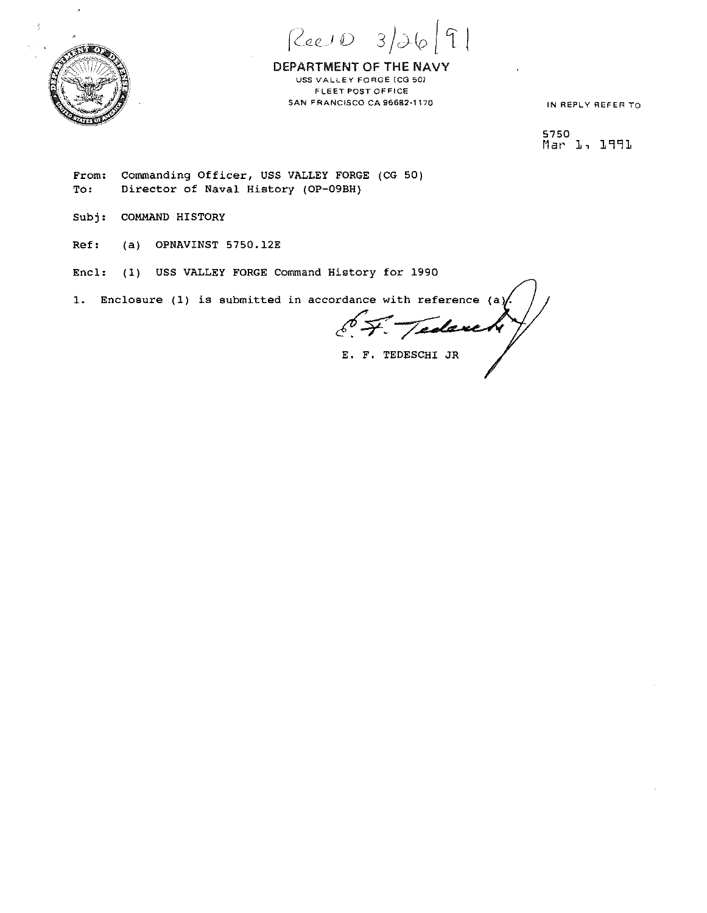

 $\epsilon$ 

*(Zee!* U

DEPARTMENT OF THE NAVY **USS VALLEY FORGE (CG 501 FLEET POST OFFICE SAN FRANCISCO CA 96682-1170** 

**IN REPLY REFER TO** 

5750 Mar<sup>1</sup>, 1991

**From:**  To: Commanding Officer, USS VALLEY FORGE (CG 50) Director of Naval History (OP-09BH)

- Subj: COMMAND HISTORY
- Ref: (a) OPNAVINST 5750.12E

Encl: (l) USS VALLEY FORGE Command History for 1990

**1. Enclosure (l) is submitted in accordance with reference** 

Tedaxe

E. F. TEDESCHI JR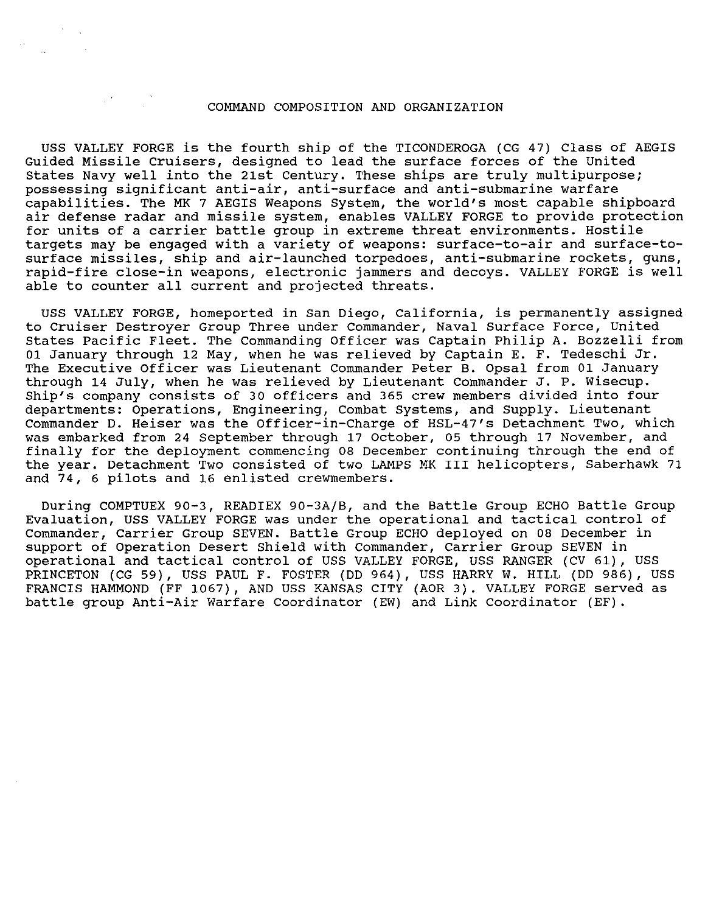## COMMAND COMPOSITION AND ORGANIZATION

USS VALLEY FORGE is the fourth ship of the TICONDEROGA (CG 47) Class of AEGIS Guided Missile cruisers, designed to lead the surface forces of the United States Navy well into the 21st Century. These ships are truly multipurpose; possessing significant anti-air, anti-surface and anti-submarine warfare capabilities. The MK 7 AEGIS Weapons System, the world's most capable shipboard air defense radar and missile system, enables VALLEY FORGE to provide protection for units of a carrier battle group in extreme threat environments. Hostile targets may be engaged with a variety of weapons: surface-to-air and surface-tosurface missiles, ship and air-launched torpedoes, anti-submarine rockets, guns, rapid-fire close-in weapons, electronic jammers and decoys. VALLEY FORGE is well able to counter all current and projected threats.

USS VALLEY FORGE, homeported in San Diego, California, is permanently assigned to Cruiser Destroyer Group Three under Commander, Naval Surface Force, United States Pacific Fleet. The Commanding Officer was Captain Philip A. Bozzelli from 01 January through 12 May, when he was relieved by Captain E. F. Tedeschi Jr. The Executive Officer was Lieutenant Commander Peter B. Opsal from 01 January through 14 July, when he was relieved by Lieutenant Commander J. P. Wisecup. Ship's company consists of 30 officers and 365 crew members divided into four departments: Operations, Engineering, Combat Systems, and Supply. Lieutenant Commander D. Heiser was the Officer-in-Charge of HSL-47's Detachment Two, which was embarked from 24 September through 17 October, 05 through 17 November, and finally for the deployment commencing 08 December continuing through the end of the year. Detachment Two consisted of two LAMPS MK III helicopters, Saberhawk 71 and 74, 6 pilots and 16 enlisted crewmembers.

During COMPTUEX 90-3, READIEX 90-3A/B, and the Battle Group ECHO Battle Group Evaluation, USS VALLEY FORGE was under the operational and tactical control of Commander, Carrier Group SEVEN. Battle Group ECHO deployed on 08 December in support of Operation Desert Shield with Commander, Carrier Group SEVEN in operational and tactical control of USS VALLEY FORGE, USS RANGER (CV 61), USS PRINCETON (CG 59), USS PAUL F. FOSTER (DD 964), USS HARRY W. HILL (DD 986), USS FRANCIS HAMMOND (FF 1067), AND USS KANSAS CITY (AOR 3). VALLEY FORGE served as battle group Anti-Air Warfare Coordinator (EW) and Link Coordinator (EF).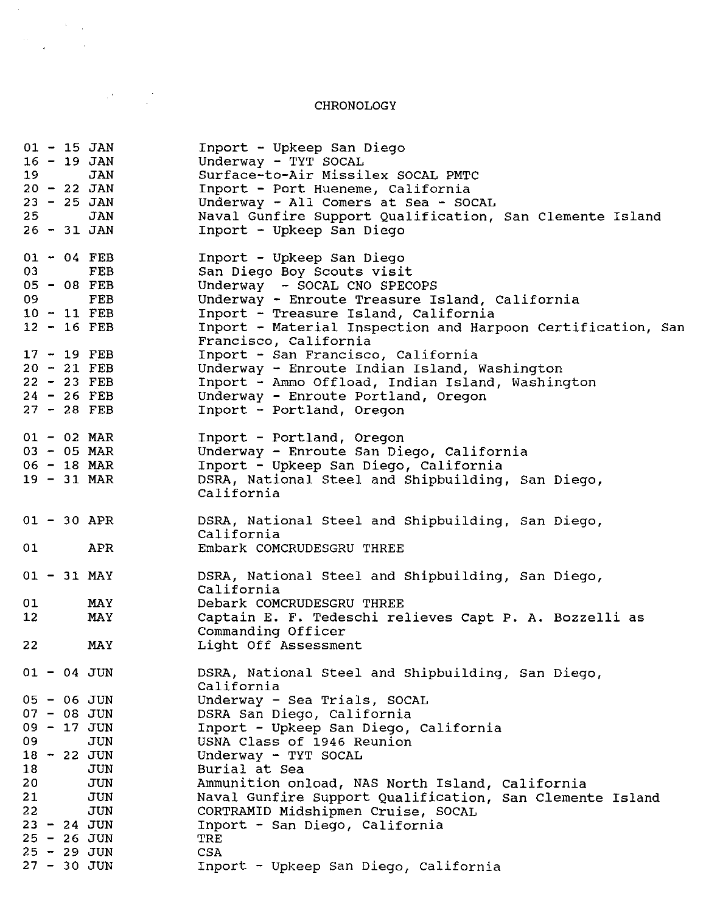## CHRONOLOGY

 $\label{eq:2.1} \frac{1}{\sqrt{2}}\int_{\mathbb{R}^3}\frac{1}{\sqrt{2}}\left(\frac{1}{\sqrt{2}}\right)^2\frac{1}{\sqrt{2}}\left(\frac{1}{\sqrt{2}}\right)^2\frac{1}{\sqrt{2}}\left(\frac{1}{\sqrt{2}}\right)^2\frac{1}{\sqrt{2}}\left(\frac{1}{\sqrt{2}}\right)^2.$ 

| $01 - 15$ JAN          | Inport - Upkeep San Diego                                   |
|------------------------|-------------------------------------------------------------|
| $16 - 19$ JAN          | Underway - TYT SOCAL                                        |
| 19<br>JAN              | Surface-to-Air Missilex SOCAL PMTC                          |
| $20 - 22$ JAN          | Inport - Port Hueneme, California                           |
| $23 - 25$ JAN          | Underway - All Comers at Sea - SOCAL                        |
| JAN<br>25 — 1          | Naval Gunfire Support Qualification, San Clemente Island    |
| $26 - 31$ JAN          | Inport - Upkeep San Diego                                   |
| $01 - 04$ FEB          | Inport - Upkeep San Diego                                   |
| 03<br><b>FEB</b>       | San Diego Boy Scouts visit                                  |
| $05 - 08$ FEB          | Underway - SOCAL CNO SPECOPS                                |
| <b>FEB</b><br>09.      | Underway - Enroute Treasure Island, California              |
| $10 - 11$ FEB          | Inport - Treasure Island, California                        |
| $12 - 16$ FEB          | Inport - Material Inspection and Harpoon Certification, San |
|                        | Francisco, California                                       |
| $17 - 19$ FEB          | Inport - San Francisco, California                          |
| $20 - 21$ FEB          | Underway - Enroute Indian Island, Washington                |
| $22 - 23$ FEB          | Inport - Ammo Offload, Indian Island, Washington            |
| $24 - 26$ FEB          | Underway - Enroute Portland, Oregon                         |
| $27 - 28$ FEB          | Inport - Portland, Oregon                                   |
|                        |                                                             |
| $01 - 02$ MAR          | Inport - Portland, Oregon                                   |
| $03 - 05$ MAR          | Underway - Enroute San Diego, California                    |
| $06 - 18$ MAR          | Inport - Upkeep San Diego, California                       |
| $19 - 31$ MAR          | DSRA, National Steel and Shipbuilding, San Diego,           |
|                        | California                                                  |
|                        |                                                             |
| $01 - 30$ APR          | DSRA, National Steel and Shipbuilding, San Diego,           |
|                        | California                                                  |
| 01<br>APR.             | Embark COMCRUDESGRU THREE                                   |
| $01 - 31$ MAY          | DSRA, National Steel and Shipbuilding, San Diego,           |
|                        | California                                                  |
| 01<br>MAY              | Debark COMCRUDESGRU THREE                                   |
| 12 <sub>1</sub><br>MAY | Captain E. F. Tedeschi relieves Capt P. A. Bozzelli as      |
|                        | Commanding Officer                                          |
| 22<br>MAY              | Light Off Assessment                                        |
|                        |                                                             |
| $01 - 04$ JUN          | DSRA, National Steel and Shipbuilding, San Diego,           |
|                        | California                                                  |
| $05 - 06$ JUN          | Underway - Sea Trials, SOCAL                                |
| $07 - 08$ JUN          | DSRA San Diego, California                                  |
| $09 - 17$ JUN          | Inport - Upkeep San Diego, California                       |
| <b>JUN</b><br>09       | USNA Class of 1946 Reunion                                  |
| $18 - 22$ JUN          | Underway - TYT SOCAL                                        |
| 18<br>JUN              | Burial at Sea                                               |
| 20<br>JUN              | Ammunition onload, NAS North Island, California             |
| 21<br>JUN              | Naval Gunfire Support Qualification, San Clemente Island    |
| 22<br>JUN              | CORTRAMID Midshipmen Cruise, SOCAL                          |
| $23 - 24$ JUN          | Inport - San Diego, California                              |
| $25 - 26$ JUN          | TRE                                                         |
| $25 - 29$ JUN          | <b>CSA</b>                                                  |
| $27 - 30$ JUN          | Inport - Upkeep San Diego, California                       |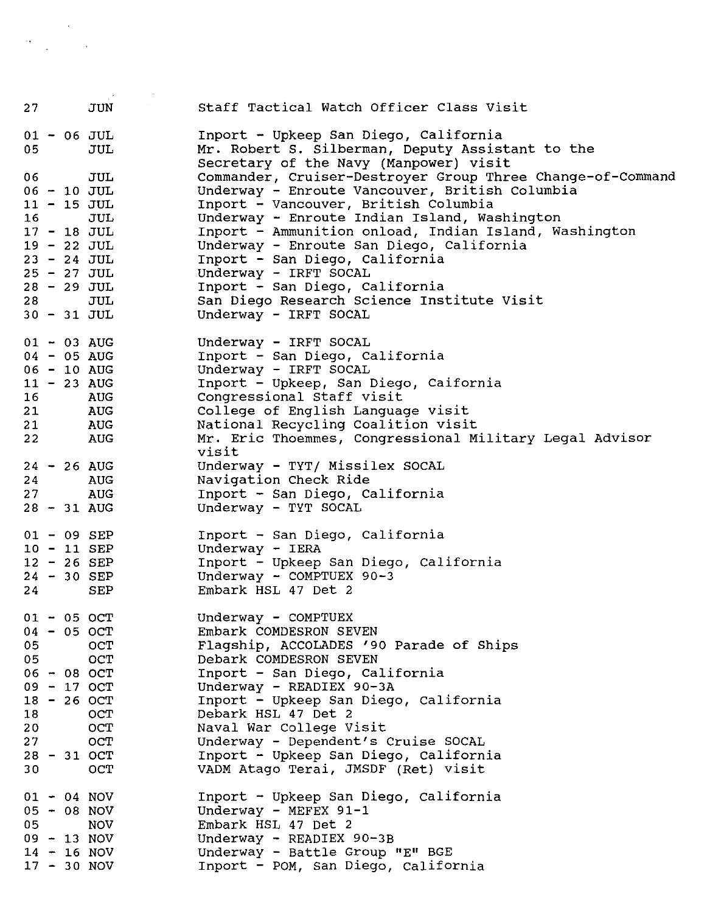| Inport - Upkeep San Diego, California<br>$01 - 06$ JUL<br>Mr. Robert S. Silberman, Deputy Assistant to the<br>JUL<br>05<br>Secretary of the Navy (Manpower) visit<br>Commander, Cruiser-Destroyer Group Three Change-of-Command<br>06.<br>JUL<br>Underway - Enroute Vancouver, British Columbia<br>$06 - 10$ JUL<br>Inport - Vancouver, British Columbia<br>$11 - 15$ JUL<br>Underway - Enroute Indian Island, Washington<br>16<br>JUL<br>$17 - 18$ JUL<br>Inport - Ammunition onload, Indian Island, Washington<br>Underway - Enroute San Diego, California<br>$19 - 22$ JUL<br>Inport - San Diego, California<br>$23 - 24$ JUL<br>$25 - 27$ JUL<br>Underway - IRFT SOCAL<br>$28 - 29$ JUL<br>Inport - San Diego, California<br>San Diego Research Science Institute Visit<br>JUL<br>28 — 1<br>$30 - 31$ JUL<br>Underway - IRFT SOCAL<br>$01 - 03$ AUG<br>Underway - IRFT SOCAL<br>Inport - San Diego, California<br>$04 - 05 \text{ A} \text{U} \text{G}$<br>Underway - IRFT SOCAL<br>$06 - 10$ AUG<br>Inport - Upkeep, San Diego, Caifornia<br>$11 - 23$ AUG<br>Congressional Staff visit<br>16<br>AUG<br>21 AUG<br>College of English Language visit<br>National Recycling Coalition visit<br>21 AUG<br>Mr. Eric Thoemmes, Congressional Military Legal Advisor<br>22 AUG<br>visit<br>Underway - TYT/ Missilex SOCAL<br>$24 - 26$ AUG<br>Navigation Check Ride<br>AUG<br>AUG<br>Inport - San Diego, California<br>27<br>Underway - TYT SOCAL<br>$28 - 31$ AUG<br>Inport - San Diego, California<br>$01 - 09$ SEP<br>$10 - 11$ SEP<br>Underway $-$ IERA<br>$12 - 26$ SEP<br>Inport - Upkeep San Diego, California<br>Underway - COMPTUEX 90-3<br>$24 - 30$ SEP<br>Embark HSL 47 Det 2<br>SEP<br>24<br>$01 - 05$ OCT<br>Underway - COMPTUEX<br>$04 - 05$ OCT<br>Embark COMDESRON SEVEN<br>05<br>Flagship, ACCOLADES '90 Parade of Ships<br><b>OCT</b><br>05<br><b>OCT</b><br>Debark COMDESRON SEVEN<br>Inport - San Diego, California<br>$06 - 08$ OCT<br>$09 - 17$ OCT<br>Underway - READIEX 90-3A<br>Inport - Upkeep San Diego, California<br>$18 - 26$ OCT<br>OCT<br>Debark HSL 47 Det 2<br>18<br>OCT<br>Naval War College Visit<br>20<br>27<br><b>OCT</b><br>Underway - Dependent's Cruise SOCAL<br>Inport - Upkeep San Diego, California<br>$28 - 31$ OCT<br>VADM Atago Terai, JMSDF (Ret) visit<br>OCT<br>30<br>Inport - Upkeep San Diego, California<br>$01 - 04$ NOV<br>Underway - MEFEX $91-1$<br>$05 - 08$ NOV<br>Embark HSL 47 Det 2<br>05<br><b>NOV</b><br>Underway - READIEX 90-3B<br>$09 - 13 NOV$<br>Underway - Battle Group "E" BGE<br>$14 - 16$ NOV<br>Inport - POM, San Diego, California<br>$17 - 30 NOV$ | 27 |  | JUN | Staff Tactical Watch Officer Class Visit |
|--------------------------------------------------------------------------------------------------------------------------------------------------------------------------------------------------------------------------------------------------------------------------------------------------------------------------------------------------------------------------------------------------------------------------------------------------------------------------------------------------------------------------------------------------------------------------------------------------------------------------------------------------------------------------------------------------------------------------------------------------------------------------------------------------------------------------------------------------------------------------------------------------------------------------------------------------------------------------------------------------------------------------------------------------------------------------------------------------------------------------------------------------------------------------------------------------------------------------------------------------------------------------------------------------------------------------------------------------------------------------------------------------------------------------------------------------------------------------------------------------------------------------------------------------------------------------------------------------------------------------------------------------------------------------------------------------------------------------------------------------------------------------------------------------------------------------------------------------------------------------------------------------------------------------------------------------------------------------------------------------------------------------------------------------------------------------------------------------------------------------------------------------------------------------------------------------------------------------------------------------------------------------------------------------------------------------------------------------------------------------------------------------------------------------------------------------------------------------------------------------------------------------------------------------------------------------------------------------------------------------------|----|--|-----|------------------------------------------|
|                                                                                                                                                                                                                                                                                                                                                                                                                                                                                                                                                                                                                                                                                                                                                                                                                                                                                                                                                                                                                                                                                                                                                                                                                                                                                                                                                                                                                                                                                                                                                                                                                                                                                                                                                                                                                                                                                                                                                                                                                                                                                                                                                                                                                                                                                                                                                                                                                                                                                                                                                                                                                                |    |  |     |                                          |
|                                                                                                                                                                                                                                                                                                                                                                                                                                                                                                                                                                                                                                                                                                                                                                                                                                                                                                                                                                                                                                                                                                                                                                                                                                                                                                                                                                                                                                                                                                                                                                                                                                                                                                                                                                                                                                                                                                                                                                                                                                                                                                                                                                                                                                                                                                                                                                                                                                                                                                                                                                                                                                |    |  |     |                                          |
|                                                                                                                                                                                                                                                                                                                                                                                                                                                                                                                                                                                                                                                                                                                                                                                                                                                                                                                                                                                                                                                                                                                                                                                                                                                                                                                                                                                                                                                                                                                                                                                                                                                                                                                                                                                                                                                                                                                                                                                                                                                                                                                                                                                                                                                                                                                                                                                                                                                                                                                                                                                                                                |    |  |     |                                          |
|                                                                                                                                                                                                                                                                                                                                                                                                                                                                                                                                                                                                                                                                                                                                                                                                                                                                                                                                                                                                                                                                                                                                                                                                                                                                                                                                                                                                                                                                                                                                                                                                                                                                                                                                                                                                                                                                                                                                                                                                                                                                                                                                                                                                                                                                                                                                                                                                                                                                                                                                                                                                                                |    |  |     |                                          |
|                                                                                                                                                                                                                                                                                                                                                                                                                                                                                                                                                                                                                                                                                                                                                                                                                                                                                                                                                                                                                                                                                                                                                                                                                                                                                                                                                                                                                                                                                                                                                                                                                                                                                                                                                                                                                                                                                                                                                                                                                                                                                                                                                                                                                                                                                                                                                                                                                                                                                                                                                                                                                                |    |  |     |                                          |
|                                                                                                                                                                                                                                                                                                                                                                                                                                                                                                                                                                                                                                                                                                                                                                                                                                                                                                                                                                                                                                                                                                                                                                                                                                                                                                                                                                                                                                                                                                                                                                                                                                                                                                                                                                                                                                                                                                                                                                                                                                                                                                                                                                                                                                                                                                                                                                                                                                                                                                                                                                                                                                |    |  |     |                                          |
|                                                                                                                                                                                                                                                                                                                                                                                                                                                                                                                                                                                                                                                                                                                                                                                                                                                                                                                                                                                                                                                                                                                                                                                                                                                                                                                                                                                                                                                                                                                                                                                                                                                                                                                                                                                                                                                                                                                                                                                                                                                                                                                                                                                                                                                                                                                                                                                                                                                                                                                                                                                                                                |    |  |     |                                          |
|                                                                                                                                                                                                                                                                                                                                                                                                                                                                                                                                                                                                                                                                                                                                                                                                                                                                                                                                                                                                                                                                                                                                                                                                                                                                                                                                                                                                                                                                                                                                                                                                                                                                                                                                                                                                                                                                                                                                                                                                                                                                                                                                                                                                                                                                                                                                                                                                                                                                                                                                                                                                                                |    |  |     |                                          |
|                                                                                                                                                                                                                                                                                                                                                                                                                                                                                                                                                                                                                                                                                                                                                                                                                                                                                                                                                                                                                                                                                                                                                                                                                                                                                                                                                                                                                                                                                                                                                                                                                                                                                                                                                                                                                                                                                                                                                                                                                                                                                                                                                                                                                                                                                                                                                                                                                                                                                                                                                                                                                                |    |  |     |                                          |
|                                                                                                                                                                                                                                                                                                                                                                                                                                                                                                                                                                                                                                                                                                                                                                                                                                                                                                                                                                                                                                                                                                                                                                                                                                                                                                                                                                                                                                                                                                                                                                                                                                                                                                                                                                                                                                                                                                                                                                                                                                                                                                                                                                                                                                                                                                                                                                                                                                                                                                                                                                                                                                |    |  |     |                                          |
|                                                                                                                                                                                                                                                                                                                                                                                                                                                                                                                                                                                                                                                                                                                                                                                                                                                                                                                                                                                                                                                                                                                                                                                                                                                                                                                                                                                                                                                                                                                                                                                                                                                                                                                                                                                                                                                                                                                                                                                                                                                                                                                                                                                                                                                                                                                                                                                                                                                                                                                                                                                                                                |    |  |     |                                          |
|                                                                                                                                                                                                                                                                                                                                                                                                                                                                                                                                                                                                                                                                                                                                                                                                                                                                                                                                                                                                                                                                                                                                                                                                                                                                                                                                                                                                                                                                                                                                                                                                                                                                                                                                                                                                                                                                                                                                                                                                                                                                                                                                                                                                                                                                                                                                                                                                                                                                                                                                                                                                                                |    |  |     |                                          |
|                                                                                                                                                                                                                                                                                                                                                                                                                                                                                                                                                                                                                                                                                                                                                                                                                                                                                                                                                                                                                                                                                                                                                                                                                                                                                                                                                                                                                                                                                                                                                                                                                                                                                                                                                                                                                                                                                                                                                                                                                                                                                                                                                                                                                                                                                                                                                                                                                                                                                                                                                                                                                                |    |  |     |                                          |
|                                                                                                                                                                                                                                                                                                                                                                                                                                                                                                                                                                                                                                                                                                                                                                                                                                                                                                                                                                                                                                                                                                                                                                                                                                                                                                                                                                                                                                                                                                                                                                                                                                                                                                                                                                                                                                                                                                                                                                                                                                                                                                                                                                                                                                                                                                                                                                                                                                                                                                                                                                                                                                |    |  |     |                                          |
|                                                                                                                                                                                                                                                                                                                                                                                                                                                                                                                                                                                                                                                                                                                                                                                                                                                                                                                                                                                                                                                                                                                                                                                                                                                                                                                                                                                                                                                                                                                                                                                                                                                                                                                                                                                                                                                                                                                                                                                                                                                                                                                                                                                                                                                                                                                                                                                                                                                                                                                                                                                                                                |    |  |     |                                          |
|                                                                                                                                                                                                                                                                                                                                                                                                                                                                                                                                                                                                                                                                                                                                                                                                                                                                                                                                                                                                                                                                                                                                                                                                                                                                                                                                                                                                                                                                                                                                                                                                                                                                                                                                                                                                                                                                                                                                                                                                                                                                                                                                                                                                                                                                                                                                                                                                                                                                                                                                                                                                                                |    |  |     |                                          |
|                                                                                                                                                                                                                                                                                                                                                                                                                                                                                                                                                                                                                                                                                                                                                                                                                                                                                                                                                                                                                                                                                                                                                                                                                                                                                                                                                                                                                                                                                                                                                                                                                                                                                                                                                                                                                                                                                                                                                                                                                                                                                                                                                                                                                                                                                                                                                                                                                                                                                                                                                                                                                                |    |  |     |                                          |
|                                                                                                                                                                                                                                                                                                                                                                                                                                                                                                                                                                                                                                                                                                                                                                                                                                                                                                                                                                                                                                                                                                                                                                                                                                                                                                                                                                                                                                                                                                                                                                                                                                                                                                                                                                                                                                                                                                                                                                                                                                                                                                                                                                                                                                                                                                                                                                                                                                                                                                                                                                                                                                |    |  |     |                                          |
|                                                                                                                                                                                                                                                                                                                                                                                                                                                                                                                                                                                                                                                                                                                                                                                                                                                                                                                                                                                                                                                                                                                                                                                                                                                                                                                                                                                                                                                                                                                                                                                                                                                                                                                                                                                                                                                                                                                                                                                                                                                                                                                                                                                                                                                                                                                                                                                                                                                                                                                                                                                                                                |    |  |     |                                          |
|                                                                                                                                                                                                                                                                                                                                                                                                                                                                                                                                                                                                                                                                                                                                                                                                                                                                                                                                                                                                                                                                                                                                                                                                                                                                                                                                                                                                                                                                                                                                                                                                                                                                                                                                                                                                                                                                                                                                                                                                                                                                                                                                                                                                                                                                                                                                                                                                                                                                                                                                                                                                                                |    |  |     |                                          |
|                                                                                                                                                                                                                                                                                                                                                                                                                                                                                                                                                                                                                                                                                                                                                                                                                                                                                                                                                                                                                                                                                                                                                                                                                                                                                                                                                                                                                                                                                                                                                                                                                                                                                                                                                                                                                                                                                                                                                                                                                                                                                                                                                                                                                                                                                                                                                                                                                                                                                                                                                                                                                                |    |  |     |                                          |
|                                                                                                                                                                                                                                                                                                                                                                                                                                                                                                                                                                                                                                                                                                                                                                                                                                                                                                                                                                                                                                                                                                                                                                                                                                                                                                                                                                                                                                                                                                                                                                                                                                                                                                                                                                                                                                                                                                                                                                                                                                                                                                                                                                                                                                                                                                                                                                                                                                                                                                                                                                                                                                | 24 |  |     |                                          |
|                                                                                                                                                                                                                                                                                                                                                                                                                                                                                                                                                                                                                                                                                                                                                                                                                                                                                                                                                                                                                                                                                                                                                                                                                                                                                                                                                                                                                                                                                                                                                                                                                                                                                                                                                                                                                                                                                                                                                                                                                                                                                                                                                                                                                                                                                                                                                                                                                                                                                                                                                                                                                                |    |  |     |                                          |
|                                                                                                                                                                                                                                                                                                                                                                                                                                                                                                                                                                                                                                                                                                                                                                                                                                                                                                                                                                                                                                                                                                                                                                                                                                                                                                                                                                                                                                                                                                                                                                                                                                                                                                                                                                                                                                                                                                                                                                                                                                                                                                                                                                                                                                                                                                                                                                                                                                                                                                                                                                                                                                |    |  |     |                                          |
|                                                                                                                                                                                                                                                                                                                                                                                                                                                                                                                                                                                                                                                                                                                                                                                                                                                                                                                                                                                                                                                                                                                                                                                                                                                                                                                                                                                                                                                                                                                                                                                                                                                                                                                                                                                                                                                                                                                                                                                                                                                                                                                                                                                                                                                                                                                                                                                                                                                                                                                                                                                                                                |    |  |     |                                          |
|                                                                                                                                                                                                                                                                                                                                                                                                                                                                                                                                                                                                                                                                                                                                                                                                                                                                                                                                                                                                                                                                                                                                                                                                                                                                                                                                                                                                                                                                                                                                                                                                                                                                                                                                                                                                                                                                                                                                                                                                                                                                                                                                                                                                                                                                                                                                                                                                                                                                                                                                                                                                                                |    |  |     |                                          |
|                                                                                                                                                                                                                                                                                                                                                                                                                                                                                                                                                                                                                                                                                                                                                                                                                                                                                                                                                                                                                                                                                                                                                                                                                                                                                                                                                                                                                                                                                                                                                                                                                                                                                                                                                                                                                                                                                                                                                                                                                                                                                                                                                                                                                                                                                                                                                                                                                                                                                                                                                                                                                                |    |  |     |                                          |
|                                                                                                                                                                                                                                                                                                                                                                                                                                                                                                                                                                                                                                                                                                                                                                                                                                                                                                                                                                                                                                                                                                                                                                                                                                                                                                                                                                                                                                                                                                                                                                                                                                                                                                                                                                                                                                                                                                                                                                                                                                                                                                                                                                                                                                                                                                                                                                                                                                                                                                                                                                                                                                |    |  |     |                                          |
|                                                                                                                                                                                                                                                                                                                                                                                                                                                                                                                                                                                                                                                                                                                                                                                                                                                                                                                                                                                                                                                                                                                                                                                                                                                                                                                                                                                                                                                                                                                                                                                                                                                                                                                                                                                                                                                                                                                                                                                                                                                                                                                                                                                                                                                                                                                                                                                                                                                                                                                                                                                                                                |    |  |     |                                          |
|                                                                                                                                                                                                                                                                                                                                                                                                                                                                                                                                                                                                                                                                                                                                                                                                                                                                                                                                                                                                                                                                                                                                                                                                                                                                                                                                                                                                                                                                                                                                                                                                                                                                                                                                                                                                                                                                                                                                                                                                                                                                                                                                                                                                                                                                                                                                                                                                                                                                                                                                                                                                                                |    |  |     |                                          |
|                                                                                                                                                                                                                                                                                                                                                                                                                                                                                                                                                                                                                                                                                                                                                                                                                                                                                                                                                                                                                                                                                                                                                                                                                                                                                                                                                                                                                                                                                                                                                                                                                                                                                                                                                                                                                                                                                                                                                                                                                                                                                                                                                                                                                                                                                                                                                                                                                                                                                                                                                                                                                                |    |  |     |                                          |
|                                                                                                                                                                                                                                                                                                                                                                                                                                                                                                                                                                                                                                                                                                                                                                                                                                                                                                                                                                                                                                                                                                                                                                                                                                                                                                                                                                                                                                                                                                                                                                                                                                                                                                                                                                                                                                                                                                                                                                                                                                                                                                                                                                                                                                                                                                                                                                                                                                                                                                                                                                                                                                |    |  |     |                                          |
|                                                                                                                                                                                                                                                                                                                                                                                                                                                                                                                                                                                                                                                                                                                                                                                                                                                                                                                                                                                                                                                                                                                                                                                                                                                                                                                                                                                                                                                                                                                                                                                                                                                                                                                                                                                                                                                                                                                                                                                                                                                                                                                                                                                                                                                                                                                                                                                                                                                                                                                                                                                                                                |    |  |     |                                          |
|                                                                                                                                                                                                                                                                                                                                                                                                                                                                                                                                                                                                                                                                                                                                                                                                                                                                                                                                                                                                                                                                                                                                                                                                                                                                                                                                                                                                                                                                                                                                                                                                                                                                                                                                                                                                                                                                                                                                                                                                                                                                                                                                                                                                                                                                                                                                                                                                                                                                                                                                                                                                                                |    |  |     |                                          |
|                                                                                                                                                                                                                                                                                                                                                                                                                                                                                                                                                                                                                                                                                                                                                                                                                                                                                                                                                                                                                                                                                                                                                                                                                                                                                                                                                                                                                                                                                                                                                                                                                                                                                                                                                                                                                                                                                                                                                                                                                                                                                                                                                                                                                                                                                                                                                                                                                                                                                                                                                                                                                                |    |  |     |                                          |
|                                                                                                                                                                                                                                                                                                                                                                                                                                                                                                                                                                                                                                                                                                                                                                                                                                                                                                                                                                                                                                                                                                                                                                                                                                                                                                                                                                                                                                                                                                                                                                                                                                                                                                                                                                                                                                                                                                                                                                                                                                                                                                                                                                                                                                                                                                                                                                                                                                                                                                                                                                                                                                |    |  |     |                                          |
|                                                                                                                                                                                                                                                                                                                                                                                                                                                                                                                                                                                                                                                                                                                                                                                                                                                                                                                                                                                                                                                                                                                                                                                                                                                                                                                                                                                                                                                                                                                                                                                                                                                                                                                                                                                                                                                                                                                                                                                                                                                                                                                                                                                                                                                                                                                                                                                                                                                                                                                                                                                                                                |    |  |     |                                          |
|                                                                                                                                                                                                                                                                                                                                                                                                                                                                                                                                                                                                                                                                                                                                                                                                                                                                                                                                                                                                                                                                                                                                                                                                                                                                                                                                                                                                                                                                                                                                                                                                                                                                                                                                                                                                                                                                                                                                                                                                                                                                                                                                                                                                                                                                                                                                                                                                                                                                                                                                                                                                                                |    |  |     |                                          |
|                                                                                                                                                                                                                                                                                                                                                                                                                                                                                                                                                                                                                                                                                                                                                                                                                                                                                                                                                                                                                                                                                                                                                                                                                                                                                                                                                                                                                                                                                                                                                                                                                                                                                                                                                                                                                                                                                                                                                                                                                                                                                                                                                                                                                                                                                                                                                                                                                                                                                                                                                                                                                                |    |  |     |                                          |
|                                                                                                                                                                                                                                                                                                                                                                                                                                                                                                                                                                                                                                                                                                                                                                                                                                                                                                                                                                                                                                                                                                                                                                                                                                                                                                                                                                                                                                                                                                                                                                                                                                                                                                                                                                                                                                                                                                                                                                                                                                                                                                                                                                                                                                                                                                                                                                                                                                                                                                                                                                                                                                |    |  |     |                                          |
|                                                                                                                                                                                                                                                                                                                                                                                                                                                                                                                                                                                                                                                                                                                                                                                                                                                                                                                                                                                                                                                                                                                                                                                                                                                                                                                                                                                                                                                                                                                                                                                                                                                                                                                                                                                                                                                                                                                                                                                                                                                                                                                                                                                                                                                                                                                                                                                                                                                                                                                                                                                                                                |    |  |     |                                          |
|                                                                                                                                                                                                                                                                                                                                                                                                                                                                                                                                                                                                                                                                                                                                                                                                                                                                                                                                                                                                                                                                                                                                                                                                                                                                                                                                                                                                                                                                                                                                                                                                                                                                                                                                                                                                                                                                                                                                                                                                                                                                                                                                                                                                                                                                                                                                                                                                                                                                                                                                                                                                                                |    |  |     |                                          |
|                                                                                                                                                                                                                                                                                                                                                                                                                                                                                                                                                                                                                                                                                                                                                                                                                                                                                                                                                                                                                                                                                                                                                                                                                                                                                                                                                                                                                                                                                                                                                                                                                                                                                                                                                                                                                                                                                                                                                                                                                                                                                                                                                                                                                                                                                                                                                                                                                                                                                                                                                                                                                                |    |  |     |                                          |
|                                                                                                                                                                                                                                                                                                                                                                                                                                                                                                                                                                                                                                                                                                                                                                                                                                                                                                                                                                                                                                                                                                                                                                                                                                                                                                                                                                                                                                                                                                                                                                                                                                                                                                                                                                                                                                                                                                                                                                                                                                                                                                                                                                                                                                                                                                                                                                                                                                                                                                                                                                                                                                |    |  |     |                                          |
|                                                                                                                                                                                                                                                                                                                                                                                                                                                                                                                                                                                                                                                                                                                                                                                                                                                                                                                                                                                                                                                                                                                                                                                                                                                                                                                                                                                                                                                                                                                                                                                                                                                                                                                                                                                                                                                                                                                                                                                                                                                                                                                                                                                                                                                                                                                                                                                                                                                                                                                                                                                                                                |    |  |     |                                          |
|                                                                                                                                                                                                                                                                                                                                                                                                                                                                                                                                                                                                                                                                                                                                                                                                                                                                                                                                                                                                                                                                                                                                                                                                                                                                                                                                                                                                                                                                                                                                                                                                                                                                                                                                                                                                                                                                                                                                                                                                                                                                                                                                                                                                                                                                                                                                                                                                                                                                                                                                                                                                                                |    |  |     |                                          |

 $\label{eq:2} \frac{1}{2}\sum_{i=1}^n\frac{1}{2}\sum_{j=1}^n\frac{1}{2}\sum_{j=1}^n\frac{1}{2}\sum_{j=1}^n\frac{1}{2}\sum_{j=1}^n\frac{1}{2}\sum_{j=1}^n\frac{1}{2}\sum_{j=1}^n\frac{1}{2}\sum_{j=1}^n\frac{1}{2}\sum_{j=1}^n\frac{1}{2}\sum_{j=1}^n\frac{1}{2}\sum_{j=1}^n\frac{1}{2}\sum_{j=1}^n\frac{1}{2}\sum_{j=1}^n\frac{1}{2}\sum_{j=1}^n\frac{$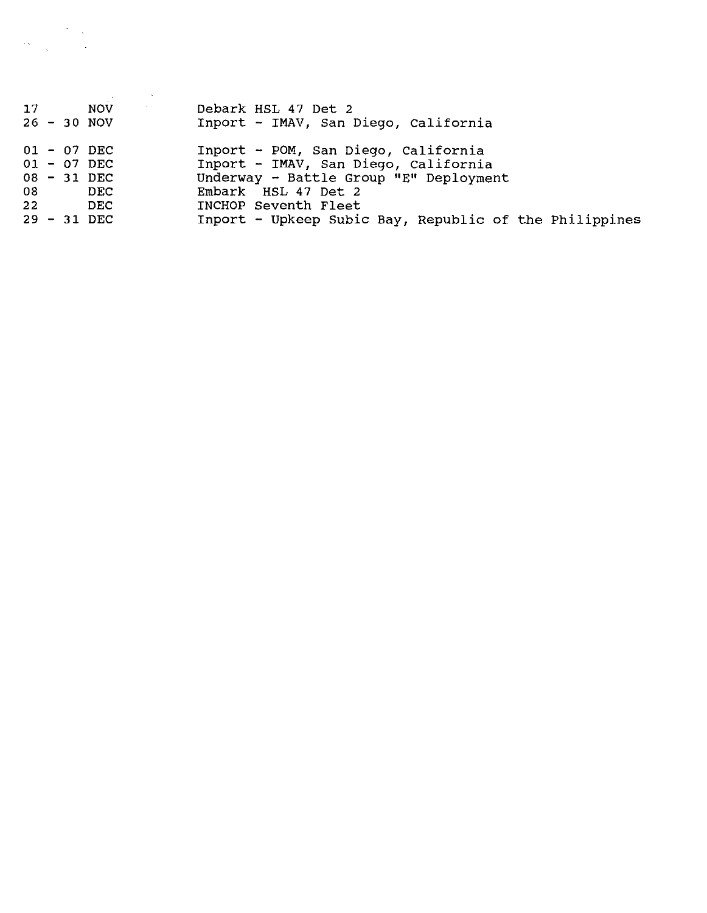| 17 |  | <b>NOV</b>    | Debark HSL 47 Det 2                                    |
|----|--|---------------|--------------------------------------------------------|
|    |  | $26 - 30 NOV$ | Inport - IMAV, San Diego, California                   |
|    |  | $01 - 07$ DEC | Inport - POM, San Diego, California                    |
|    |  | $01 - 07$ DEC | Inport - IMAV, San Diego, California                   |
|    |  | 08 - 31 DEC   | Underway - Battle Group "E" Deployment                 |
| 08 |  | DEC           | Embark HSL 47 Det 2                                    |
| 22 |  | DEC           | INCHOP Seventh Fleet                                   |
|    |  | $29 - 31$ DEC | Inport - Upkeep Subic Bay, Republic of the Philippines |

 $\label{eq:2} \frac{1}{2} \sum_{i=1}^n \frac{1}{2} \sum_{j=1}^n \frac{1}{2} \sum_{j=1}^n \frac{1}{2} \sum_{j=1}^n \frac{1}{2} \sum_{j=1}^n \frac{1}{2} \sum_{j=1}^n \frac{1}{2} \sum_{j=1}^n \frac{1}{2} \sum_{j=1}^n \frac{1}{2} \sum_{j=1}^n \frac{1}{2} \sum_{j=1}^n \frac{1}{2} \sum_{j=1}^n \frac{1}{2} \sum_{j=1}^n \frac{1}{2} \sum_{j=1}^n \frac{1}{$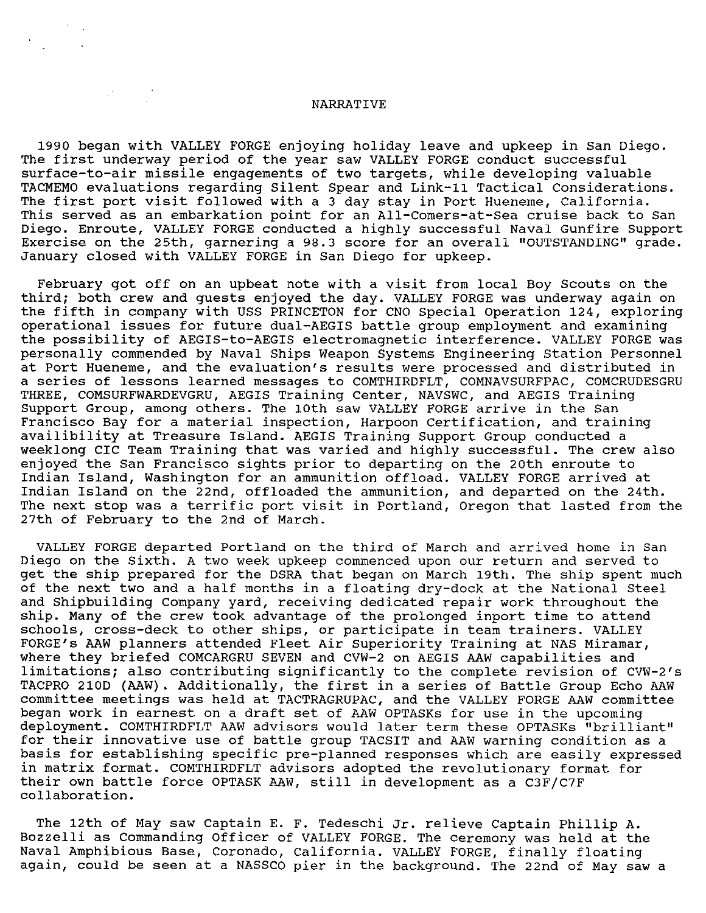## NARRATIVE

1990 began with VALLEY FORGE enjoying holiday leave and upkeep in San Diego. The first underway period of the year saw VALLEY FORGE conduct successful surface-to-air missile engagements of two targets, while developing valuable TACMEMO evaluations regarding Silent Spear and Link-11 Tactical Considerations. The first port visit followed with a 3 day stay in Port Hueneme, California. This served as an embarkation point for an All-Comers-at-Sea cruise back to San Diego. Enroute, VALLEY FORGE conducted a highly successful Naval Gunfire Support Exercise on the 25th, garnering a 98.3 score for an overall "OUTSTANDING" grade. January closed with VALLEY FORGE in San Diego for upkeep.

February got off on an upbeat note with a visit from local Boy Scouts on the third; both crew and guests enjoyed the day. VALLEY FORGE was underway again on the fifth in company with USS PRINCETON for CNO Special Operation 124, exploring operational issues for future dual-AEGIS battle group employment and examining the possibility of AEGIS-to-AEGIS electromagnetic interference. VALLEY FORGE was personally commended by Naval Ships Weapon Systems Engineering Station Personnel at Port Hueneme, and the evaluation's results were processed and distributed in a series of lessons learned messages to COMTHIRDFLT, COMNAVSURFPAC, COMCRUDESGRU THREE, COMSURFWARDEVGRU, AEGIS Training Center, NAVSWC, and AEGIS Training Support Group, among others. The 10th saw VALLEY FORGE arrive in the San Francisco Bay for a material inspection, Harpoon Certification, and training availibility at Treasure Island. AEGIS Training Support Group conducted a weeklong CIC Team Training that was varied and highly successful. The crew also enjoyed the San Francisco sights prior to departing on the 20th enroute to Indian Island, Washington for an ammunition offload. VALLEY FORGE arrived at Indian Island on the 22nd, offloaded the ammunition, and departed on the 24th. The next stop was a terrific port visit in Portland, Oregon that lasted from the 27th of February to the 2nd of March.

VALLEY FORGE departed Portland on the third of March and arrived home in San Diego on the Sixth. A two week upkeep commenced upon our return and served to get the ship prepared for the DSRA that began on March 19th. The ship spent much of the next two and a half months in a floating dry-dock at the National Steel and Shipbuilding Company yard, receiving dedicated repair work throughout the ship. Many of the crew took advantage of the prolonged inport time to attend schools, cross-deck to other ships, or participate in team trainers. VALLEY FORGE's AAW planners attended Fleet Air Superiority Training at NAS Miramar, where they briefed COMCARGRU SEVEN and CVW-2 on AEGIS AAW capabilities and limitations; also contributing significantly to the complete revision of CVW-2's TACPRO 210D (AAW). Additionally, the first in a series of Battle Group Echo AAW committee meetings was held at TACTRAGRUPAC, and the VALLEY FORGE AAW committee began work in earnest on a draft set of AAW OPTASKs for use in the upcoming deployment. COMTHIRDFLT AAW advisors would later term these OPTASKs "brilliant" for their innovative use of battle group TACSIT and AAW warning condition as a basis for establishing specific pre-planned responses which are easily expressed in matrix format. COMTHIRDFLT advisors adopted the revolutionary format for their own battle force OPTASK AAW, still in development as a C3F/C7F collaboration.

The 12th of May saw Captain E. F. Tedeschi Jr. relieve Captain Phillip A. Bozzelli as Commanding Officer of VALLEY FORGE. The ceremony was held at the Naval Amphibious Base, Coronado, California. VALLEY FORGE, finally floating again, could be seen at a NASSCO pier in the background. The 22nd of May saw a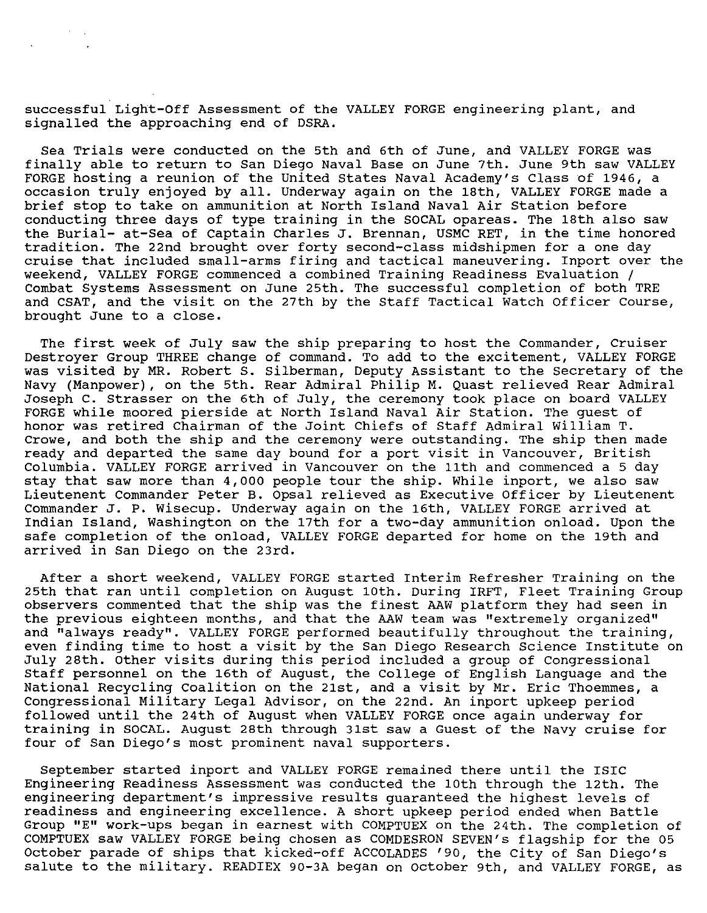successful Light-Off Assessment of the VALLEY FORGE engineering plant, and signalled the approaching end of DSRA.

Sea Trials were conducted on the 5th and 6th of June, and VALLEY FORGE was finally able to return to San Diego Naval Base on June 7th. June 9th saw VALLEY FORGE hosting a reunion of the United states Naval Academy's Class of 1946, a occasion truly enjoyed by all. Underway again on the 18th, VALLEY FORGE made a brief stop to take on ammunition at North Island Naval Air Station before conducting three days of type training in the SOCAL opareas. The 18th also saw the Burial- at-Sea of Captain Charles J. Brennan, USMC RET, in the time honored tradition. The 22nd brought over forty second-class midshipmen for a one day cruise that included small-arms firing and tactical maneuvering. Inport over the weekend, VALLEY FORGE commenced a combined Training Readiness Evaluation / Combat Systems Assessment on June 25th. The successful completion of both TRE and CSAT, and the visit on the 27th by the Staff Tactical Watch Officer Course, brought June to a close.

The first week of July saw the ship preparing to host the Commander, Cruiser Destroyer Group THREE change of command. To add to the excitement, VALLEY FORGE was visited by MR. Robert S. Silberman, Deputy Assistant to the secretary of the Navy (Manpower), on the 5th. Rear Admiral Philip M. Quast relieved Rear Admiral Joseph C. Strasser on the 6th of July, the ceremony took place on board VALLEY FORGE while moored pierside at North Island Naval Air Station. The guest of honor was retired Chairman of the Joint Chiefs of Staff Admiral William T. Crowe, and both the ship and the ceremony were outstanding. The ship then made ready and departed the same day bound for a port visit in Vancouver, British Columbia. VALLEY FORGE arrived in Vancouver on the 11th and commenced a 5 day stay that saw more than 4,000 people tour the ship. While inport, we also saw Lieutenent Commander Peter B. Opsal relieved as Executive Officer by Lieutenent Commander J. P. Wisecup. Underway again on the 16th, VALLEY FORGE arrived at Indian Island, Washington on the 17th for a two-day ammunition onload. Upon the safe completion of the onload, VALLEY FORGE departed for home on the 19th and arrived in San Diego on the 23rd.

After a short weekend, VALLEY FORGE started Interim Refresher Training on the 25th that ran until completion on August 10th. During IRFT, Fleet Training Group observers commented that the ship was the finest AAW platform they had seen in the previous eighteen months, and that the AAW team was "extremely organized" and "always ready". VALLEY FORGE performed beautifully throughout the training, even finding time to host a visit by the San Diego Research Science Institute on July 28th. Other visits during this period included a group of Congressional Staff personnel on the 16th of August, the College of English Language and the National Recycling Coalition on the 21st, and a visit by Mr. Eric Thoemmes, a Congressional Military Legal Advisor, on the 22nd. An inport upkeep period followed until the 24th of August when VALLEY FORGE once again underway for training in SOCAL. August 28th through 31st saw a Guest of the Navy cruise for four of San Diego's most prominent naval supporters.

September started inport and VALLEY FORGE remained there until the ISIC Engineering Readiness Assessment was conducted the 10th through the 12th. The **engineering department <sup>1</sup> s impressive results guaranteed the highest levels of**  readiness and engineering excellence. A short upkeep period ended when Battle Group "E" work-ups began in earnest with COMPTUEX on the 24th. The completion of COMPTUEX saw VALLEY FORGE being chosen as COMDESRON SEVEN's flagship for the 05 October parade of ships that kicked-off ACCOLADES '90, the City of San Diego's salute to the military. READIEX 90-3A began on October 9th, and VALLEY FORGE, as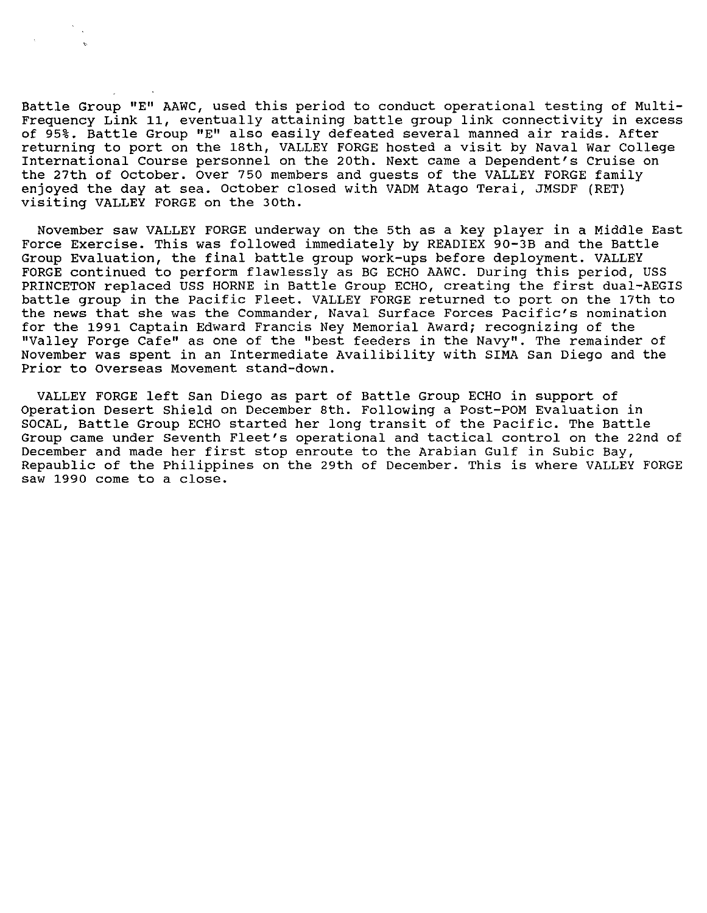Battle Group "E" AAWC, used this period to conduct operational testing of Multi-Frequency Link 11, eventually attaining battle group link connectivity in excess of 95%. Battle Group "E" also easily defeated several manned air raids. After returning to port on the 18th, VALLEY FORGE hosted a visit by Naval War College International Course personnel on the 20th. Next came a Dependent's Cruise on the 27th of October. over 750 members and guests of the VALLEY FORGE family enjoyed the day at sea. October closed with VADM Atago Terai, JMSDF (RET) visiting VALLEY FORGE on the 30th.

November saw VALLEY FORGE underway on the 5th as a key player in a Middle East Force Exercise. This was followed immediately by READIEX 90-3B and the Battle Group Evaluation, the final battle group work-ups before deployment. VALLEY FORGE continued to perform flawlessly as BG ECHO AAWC. During this period, USS PRINCETON replaced USS HORNE in Battle Group ECHO, creating the first dual-AEGIS battle group in the Pacific Fleet. VALLEY FORGE returned to port on the 17th to the news that she was the Commander, Naval surface Forces Pacific's nomination for the 1991 Captain Edward Francis Ney Memorial Award; recognizing of the "Valley Forge Cafe" as one of the "best feeders in the Navy". The remainder of November was spent in an Intermediate Availibility with SIMA San Diego and the Prior to overseas Movement stand-down.

VALLEY FORGE left San Diego as part of Battle Group ECHO in support of Operation Desert Shield on December 8th. Following a Post-POM Evaluation in SOCAL, Battle Group ECHO started her long transit of the Pacific. The Battle Group came under Seventh Fleet's operational and tactical control on the 22nd of December and made her first stop enroute to the Arabian Gulf in Subic Bay, Repaublic of the Philippines on the 29th of December. This is where VALLEY FORGE saw 1990 come to a close.